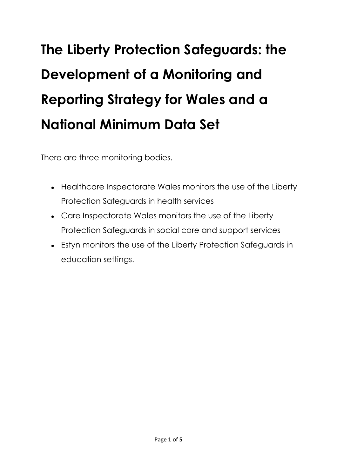## **The Liberty Protection Safeguards: the Development of a Monitoring and Reporting Strategy for Wales and a National Minimum Data Set**

There are three monitoring bodies.

- Healthcare Inspectorate Wales monitors the use of the Liberty Protection Safeguards in health services
- Care Inspectorate Wales monitors the use of the Liberty Protection Safeguards in social care and support services
- Estyn monitors the use of the Liberty Protection Safeguards in education settings.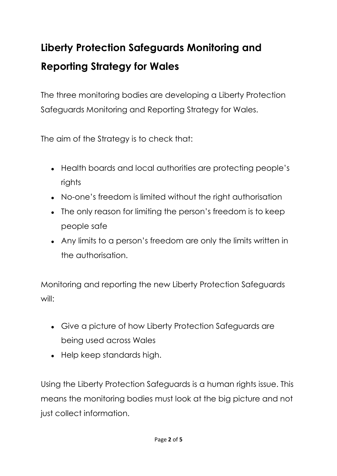## **Liberty Protection Safeguards Monitoring and Reporting Strategy for Wales**

The three monitoring bodies are developing a Liberty Protection Safeguards Monitoring and Reporting Strategy for Wales.

The aim of the Strategy is to check that:

- Health boards and local authorities are protecting people's rights
- No-one's freedom is limited without the right authorisation
- The only reason for limiting the person's freedom is to keep people safe
- Any limits to a person's freedom are only the limits written in the authorisation.

Monitoring and reporting the new Liberty Protection Safeguards will:

- Give a picture of how Liberty Protection Safeguards are being used across Wales
- Help keep standards high.

Using the Liberty Protection Safeguards is a human rights issue. This means the monitoring bodies must look at the big picture and not just collect information.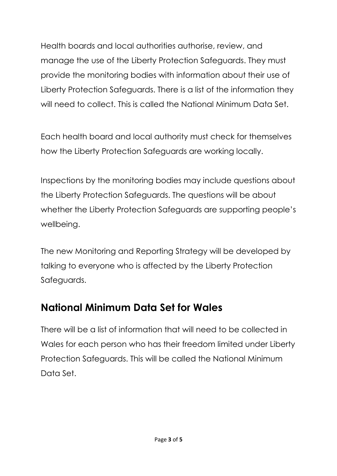Health boards and local authorities authorise, review, and manage the use of the Liberty Protection Safeguards. They must provide the monitoring bodies with information about their use of Liberty Protection Safeguards. There is a list of the information they will need to collect. This is called the National Minimum Data Set.

Each health board and local authority must check for themselves how the Liberty Protection Safeguards are working locally.

Inspections by the monitoring bodies may include questions about the Liberty Protection Safeguards. The questions will be about whether the Liberty Protection Safeguards are supporting people's wellbeing.

The new Monitoring and Reporting Strategy will be developed by talking to everyone who is affected by the Liberty Protection Safeguards.

## **National Minimum Data Set for Wales**

There will be a list of information that will need to be collected in Wales for each person who has their freedom limited under Liberty Protection Safeguards. This will be called the National Minimum Data Set.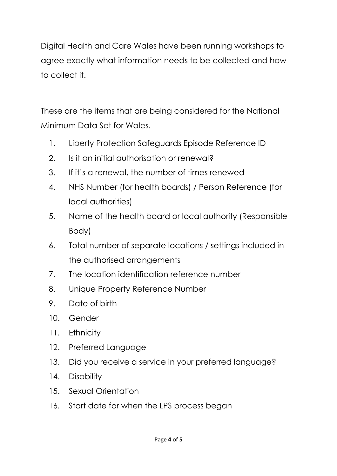Digital Health and Care Wales have been running workshops to agree exactly what information needs to be collected and how to collect it.

These are the items that are being considered for the National Minimum Data Set for Wales.

- 1. Liberty Protection Safeguards Episode Reference ID
- 2. Is it an initial authorisation or renewal?
- 3. If it's a renewal, the number of times renewed
- 4. NHS Number (for health boards) / Person Reference (for local authorities)
- 5. Name of the health board or local authority (Responsible Body)
- 6. Total number of separate locations / settings included in the authorised arrangements
- 7. The location identification reference number
- 8. Unique Property Reference Number
- 9. Date of birth
- 10. Gender
- 11. Ethnicity
- 12. Preferred Language
- 13. Did you receive a service in your preferred language?
- 14. Disability
- 15. Sexual Orientation
- 16. Start date for when the LPS process began